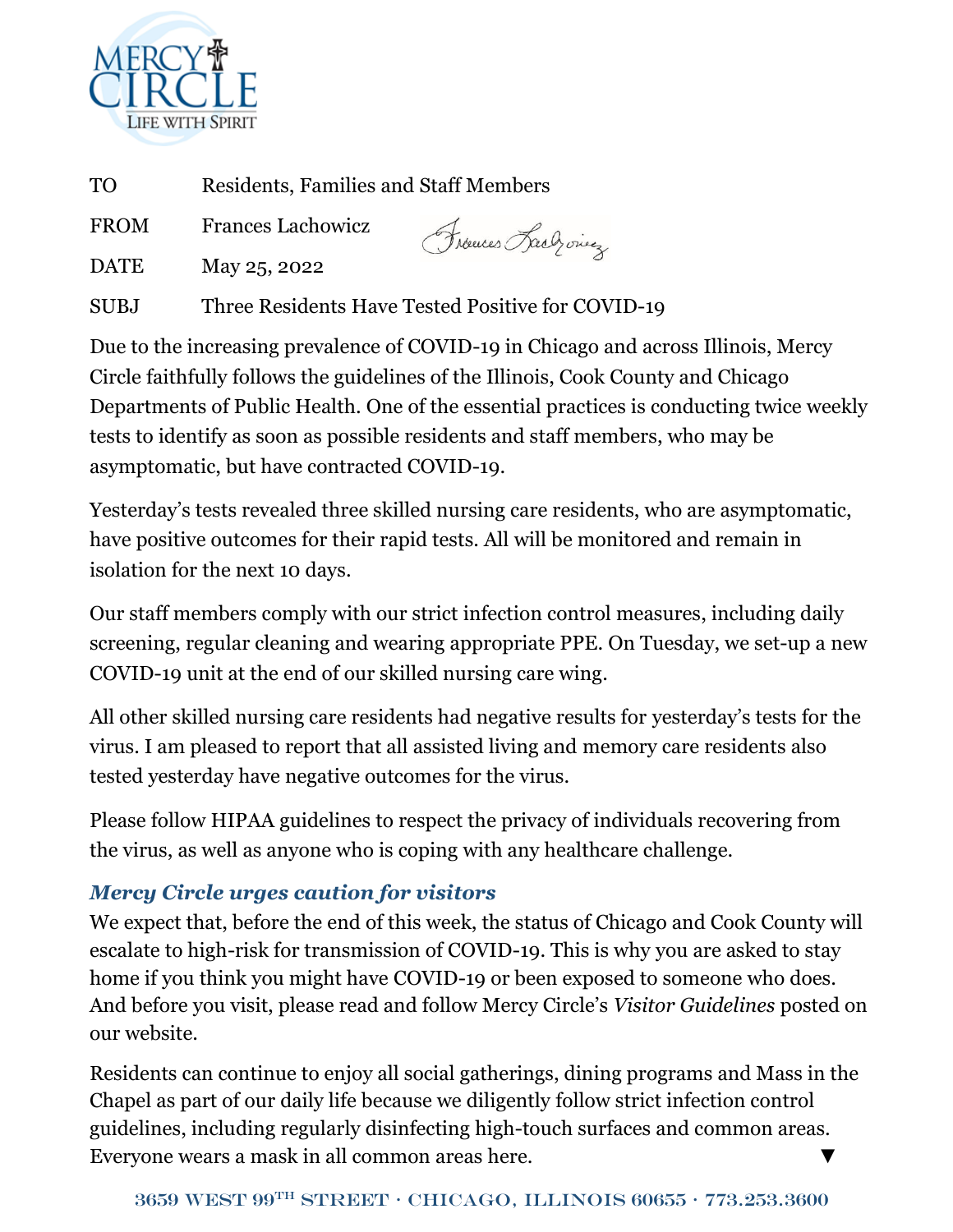

TO Residents, Families and Staff Members

FROM Frances Lachowicz

Frances Rach ones

DATE May 25, 2022

SUBJ Three Residents Have Tested Positive for COVID-19

Due to the increasing prevalence of COVID-19 in Chicago and across Illinois, Mercy Circle faithfully follows the guidelines of the Illinois, Cook County and Chicago Departments of Public Health. One of the essential practices is conducting twice weekly tests to identify as soon as possible residents and staff members, who may be asymptomatic, but have contracted COVID-19.

Yesterday's tests revealed three skilled nursing care residents, who are asymptomatic, have positive outcomes for their rapid tests. All will be monitored and remain in isolation for the next 10 days.

Our staff members comply with our strict infection control measures, including daily screening, regular cleaning and wearing appropriate PPE. On Tuesday, we set-up a new COVID-19 unit at the end of our skilled nursing care wing.

All other skilled nursing care residents had negative results for yesterday's tests for the virus. I am pleased to report that all assisted living and memory care residents also tested yesterday have negative outcomes for the virus.

Please follow HIPAA guidelines to respect the privacy of individuals recovering from the virus, as well as anyone who is coping with any healthcare challenge.

## *Mercy Circle urges caution for visitors*

We expect that, before the end of this week, the status of Chicago and Cook County will escalate to high-risk for transmission of COVID-19. This is why you are asked to stay home if you think you might have COVID-19 or been exposed to someone who does. And before you visit, please read and follow Mercy Circle's *Visitor Guidelines* posted on our website.

Residents can continue to enjoy all social gatherings, dining programs and Mass in the Chapel as part of our daily life because we diligently follow strict infection control guidelines, including regularly disinfecting high-touch surfaces and common areas. Everyone wears a mask in all common areas here.